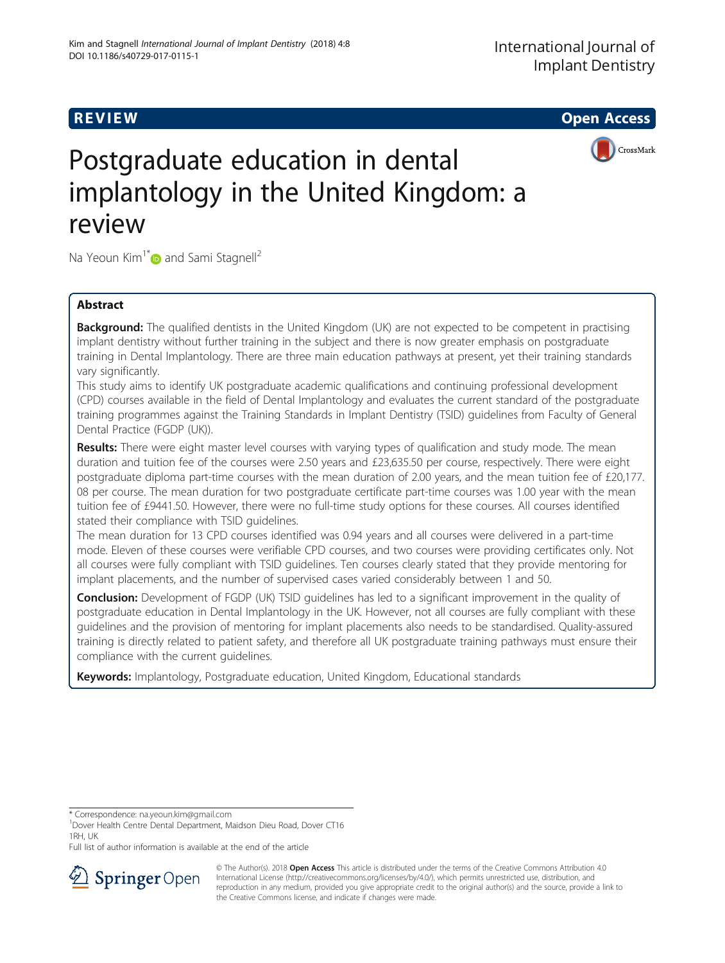

# Postgraduate education in dental implantology in the United Kingdom: a review

Na Yeoun Kim<sup>1\*</sup> and Sami Stagnell<sup>2</sup>

# **Abstract**

**Background:** The qualified dentists in the United Kingdom (UK) are not expected to be competent in practising implant dentistry without further training in the subject and there is now greater emphasis on postgraduate training in Dental Implantology. There are three main education pathways at present, yet their training standards vary significantly.

This study aims to identify UK postgraduate academic qualifications and continuing professional development (CPD) courses available in the field of Dental Implantology and evaluates the current standard of the postgraduate training programmes against the Training Standards in Implant Dentistry (TSID) guidelines from Faculty of General Dental Practice (FGDP (UK)).

Results: There were eight master level courses with varying types of qualification and study mode. The mean duration and tuition fee of the courses were 2.50 years and £23,635.50 per course, respectively. There were eight postgraduate diploma part-time courses with the mean duration of 2.00 years, and the mean tuition fee of £20,177. 08 per course. The mean duration for two postgraduate certificate part-time courses was 1.00 year with the mean tuition fee of £9441.50. However, there were no full-time study options for these courses. All courses identified stated their compliance with TSID guidelines.

The mean duration for 13 CPD courses identified was 0.94 years and all courses were delivered in a part-time mode. Eleven of these courses were verifiable CPD courses, and two courses were providing certificates only. Not all courses were fully compliant with TSID guidelines. Ten courses clearly stated that they provide mentoring for implant placements, and the number of supervised cases varied considerably between 1 and 50.

Conclusion: Development of FGDP (UK) TSID guidelines has led to a significant improvement in the quality of postgraduate education in Dental Implantology in the UK. However, not all courses are fully compliant with these guidelines and the provision of mentoring for implant placements also needs to be standardised. Quality-assured training is directly related to patient safety, and therefore all UK postgraduate training pathways must ensure their compliance with the current guidelines.

Keywords: Implantology, Postgraduate education, United Kingdom, Educational standards

Full list of author information is available at the end of the article



<sup>©</sup> The Author(s). 2018 Open Access This article is distributed under the terms of the Creative Commons Attribution 4.0 International License ([http://creativecommons.org/licenses/by/4.0/\)](http://creativecommons.org/licenses/by/4.0/), which permits unrestricted use, distribution, and reproduction in any medium, provided you give appropriate credit to the original author(s) and the source, provide a link to the Creative Commons license, and indicate if changes were made.

<sup>\*</sup> Correspondence: [na.yeoun.kim@gmail.com](mailto:na.yeoun.kim@gmail.com) <sup>1</sup>

<sup>&</sup>lt;sup>1</sup>Dover Health Centre Dental Department, Maidson Dieu Road, Dover CT16 1RH, UK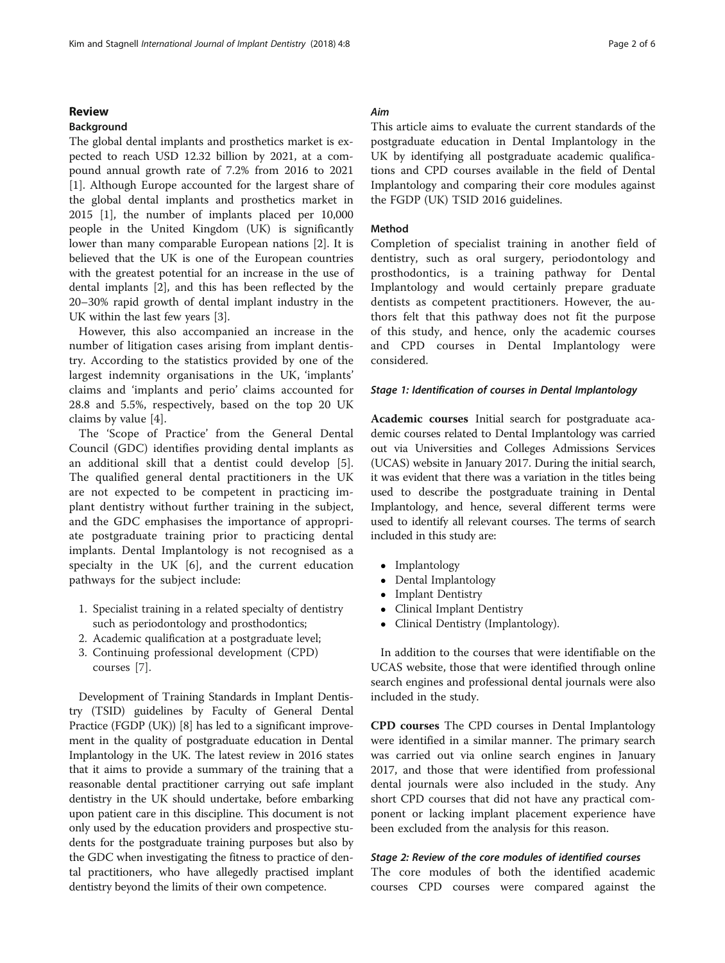## **Review**

# **Background**

The global dental implants and prosthetics market is expected to reach USD 12.32 billion by 2021, at a compound annual growth rate of 7.2% from 2016 to 2021 [[1\]](#page-5-0). Although Europe accounted for the largest share of the global dental implants and prosthetics market in 2015 [\[1](#page-5-0)], the number of implants placed per 10,000 people in the United Kingdom (UK) is significantly lower than many comparable European nations [[2](#page-5-0)]. It is believed that the UK is one of the European countries with the greatest potential for an increase in the use of dental implants [\[2](#page-5-0)], and this has been reflected by the 20–30% rapid growth of dental implant industry in the UK within the last few years [[3\]](#page-5-0).

However, this also accompanied an increase in the number of litigation cases arising from implant dentistry. According to the statistics provided by one of the largest indemnity organisations in the UK, 'implants' claims and 'implants and perio' claims accounted for 28.8 and 5.5%, respectively, based on the top 20 UK claims by value [\[4](#page-5-0)].

The 'Scope of Practice' from the General Dental Council (GDC) identifies providing dental implants as an additional skill that a dentist could develop [\[5](#page-5-0)]. The qualified general dental practitioners in the UK are not expected to be competent in practicing implant dentistry without further training in the subject, and the GDC emphasises the importance of appropriate postgraduate training prior to practicing dental implants. Dental Implantology is not recognised as a specialty in the UK [[6](#page-5-0)], and the current education pathways for the subject include:

- 1. Specialist training in a related specialty of dentistry such as periodontology and prosthodontics;
- 2. Academic qualification at a postgraduate level;
- 3. Continuing professional development (CPD) courses [[7\]](#page-5-0).

Development of Training Standards in Implant Dentistry (TSID) guidelines by Faculty of General Dental Practice (FGDP (UK)) [[8](#page-5-0)] has led to a significant improvement in the quality of postgraduate education in Dental Implantology in the UK. The latest review in 2016 states that it aims to provide a summary of the training that a reasonable dental practitioner carrying out safe implant dentistry in the UK should undertake, before embarking upon patient care in this discipline. This document is not only used by the education providers and prospective students for the postgraduate training purposes but also by the GDC when investigating the fitness to practice of dental practitioners, who have allegedly practised implant dentistry beyond the limits of their own competence.

# Aim

This article aims to evaluate the current standards of the postgraduate education in Dental Implantology in the UK by identifying all postgraduate academic qualifications and CPD courses available in the field of Dental Implantology and comparing their core modules against the FGDP (UK) TSID 2016 guidelines.

#### Method

Completion of specialist training in another field of dentistry, such as oral surgery, periodontology and prosthodontics, is a training pathway for Dental Implantology and would certainly prepare graduate dentists as competent practitioners. However, the authors felt that this pathway does not fit the purpose of this study, and hence, only the academic courses and CPD courses in Dental Implantology were considered.

#### Stage 1: Identification of courses in Dental Implantology

Academic courses Initial search for postgraduate academic courses related to Dental Implantology was carried out via Universities and Colleges Admissions Services (UCAS) website in January 2017. During the initial search, it was evident that there was a variation in the titles being used to describe the postgraduate training in Dental Implantology, and hence, several different terms were used to identify all relevant courses. The terms of search included in this study are:

- Implantology
- Dental Implantology
- Implant Dentistry
- Clinical Implant Dentistry<br>• Clinical Dentistry (Implant
- Clinical Dentistry (Implantology).

In addition to the courses that were identifiable on the UCAS website, those that were identified through online search engines and professional dental journals were also included in the study.

CPD courses The CPD courses in Dental Implantology were identified in a similar manner. The primary search was carried out via online search engines in January 2017, and those that were identified from professional dental journals were also included in the study. Any short CPD courses that did not have any practical component or lacking implant placement experience have been excluded from the analysis for this reason.

## Stage 2: Review of the core modules of identified courses

The core modules of both the identified academic courses CPD courses were compared against the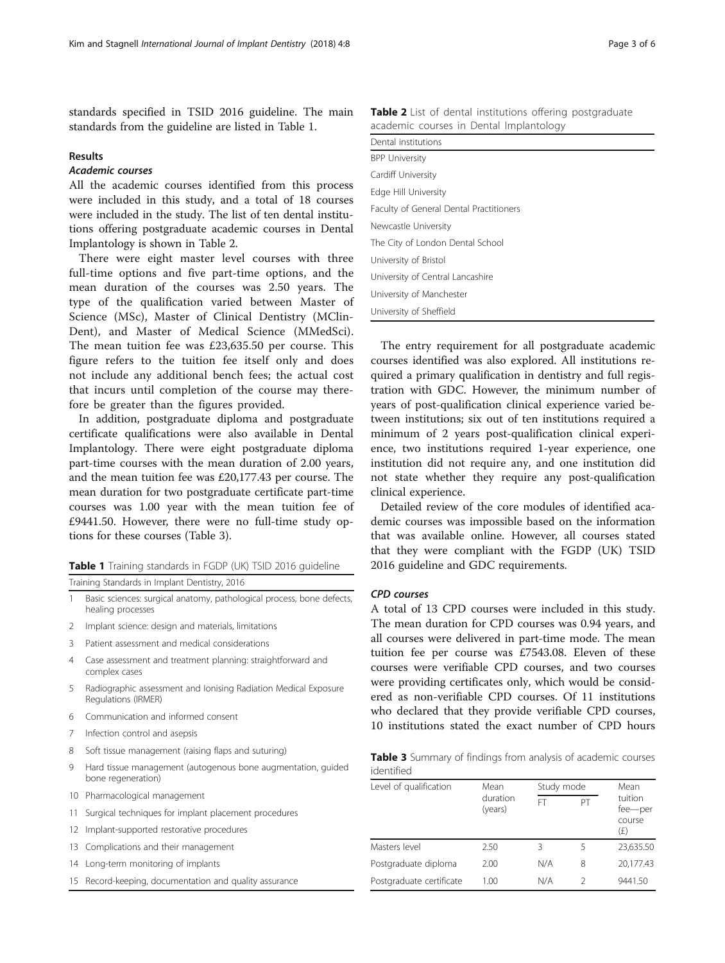standards specified in TSID 2016 guideline. The main standards from the guideline are listed in Table 1.

#### Results

## Academic courses

All the academic courses identified from this process were included in this study, and a total of 18 courses were included in the study. The list of ten dental institutions offering postgraduate academic courses in Dental Implantology is shown in Table 2.

There were eight master level courses with three full-time options and five part-time options, and the mean duration of the courses was 2.50 years. The type of the qualification varied between Master of Science (MSc), Master of Clinical Dentistry (MClin-Dent), and Master of Medical Science (MMedSci). The mean tuition fee was £23,635.50 per course. This figure refers to the tuition fee itself only and does not include any additional bench fees; the actual cost that incurs until completion of the course may therefore be greater than the figures provided.

In addition, postgraduate diploma and postgraduate certificate qualifications were also available in Dental Implantology. There were eight postgraduate diploma part-time courses with the mean duration of 2.00 years, and the mean tuition fee was £20,177.43 per course. The mean duration for two postgraduate certificate part-time courses was 1.00 year with the mean tuition fee of £9441.50. However, there were no full-time study options for these courses (Table 3).

|  | Table 1 Training standards in FGDP (UK) TSID 2016 guideline |  |  |  |
|--|-------------------------------------------------------------|--|--|--|
|  | Training Standards in Implant Dentistry, 2016               |  |  |  |

- Basic sciences: surgical anatomy, pathological process, bone defects, healing processes
- 2 Implant science: design and materials, limitations
- 3 Patient assessment and medical considerations
- 4 Case assessment and treatment planning: straightforward and complex cases
- 5 Radiographic assessment and Ionising Radiation Medical Exposure Regulations (IRMER)
- 6 Communication and informed consent
- 7 Infection control and asepsis
- 8 Soft tissue management (raising flaps and suturing)
- 9 Hard tissue management (autogenous bone augmentation, guided bone regeneration)
- 10 Pharmacological management
- 11 Surgical techniques for implant placement procedures
- 12 Implant-supported restorative procedures
- 13 Complications and their management
- 14 Long-term monitoring of implants
- 15 Record-keeping, documentation and quality assurance

Table 2 List of dental institutions offering postgraduate academic courses in Dental Implantology

| Dental institutions                     |
|-----------------------------------------|
|                                         |
| <b>BPP University</b>                   |
| Cardiff University                      |
| Edge Hill University                    |
| Faculty of General Dental Practitioners |
| Newcastle University                    |
| The City of London Dental School        |
| University of Bristol                   |
| University of Central Lancashire        |
| University of Manchester                |
| University of Sheffield                 |

The entry requirement for all postgraduate academic courses identified was also explored. All institutions required a primary qualification in dentistry and full registration with GDC. However, the minimum number of years of post-qualification clinical experience varied between institutions; six out of ten institutions required a minimum of 2 years post-qualification clinical experience, two institutions required 1-year experience, one institution did not require any, and one institution did not state whether they require any post-qualification clinical experience.

Detailed review of the core modules of identified academic courses was impossible based on the information that was available online. However, all courses stated that they were compliant with the FGDP (UK) TSID 2016 guideline and GDC requirements.

#### CPD courses

A total of 13 CPD courses were included in this study. The mean duration for CPD courses was 0.94 years, and all courses were delivered in part-time mode. The mean tuition fee per course was £7543.08. Eleven of these courses were verifiable CPD courses, and two courses were providing certificates only, which would be considered as non-verifiable CPD courses. Of 11 institutions who declared that they provide verifiable CPD courses, 10 institutions stated the exact number of CPD hours

Table 3 Summary of findings from analysis of academic courses identified

| Level of qualification   | Mean                | Study mode | Mean |                                     |
|--------------------------|---------------------|------------|------|-------------------------------------|
|                          | duration<br>(years) | FT         | PT   | tuition<br>fee-per<br>course<br>(E) |
| Masters level            | 2.50                | 3          | 5    | 23,635.50                           |
| Postgraduate diploma     | 2.00                | N/A        | 8    | 20.177.43                           |
| Postgraduate certificate | 1.00                | N/A        | V    | 9441.50                             |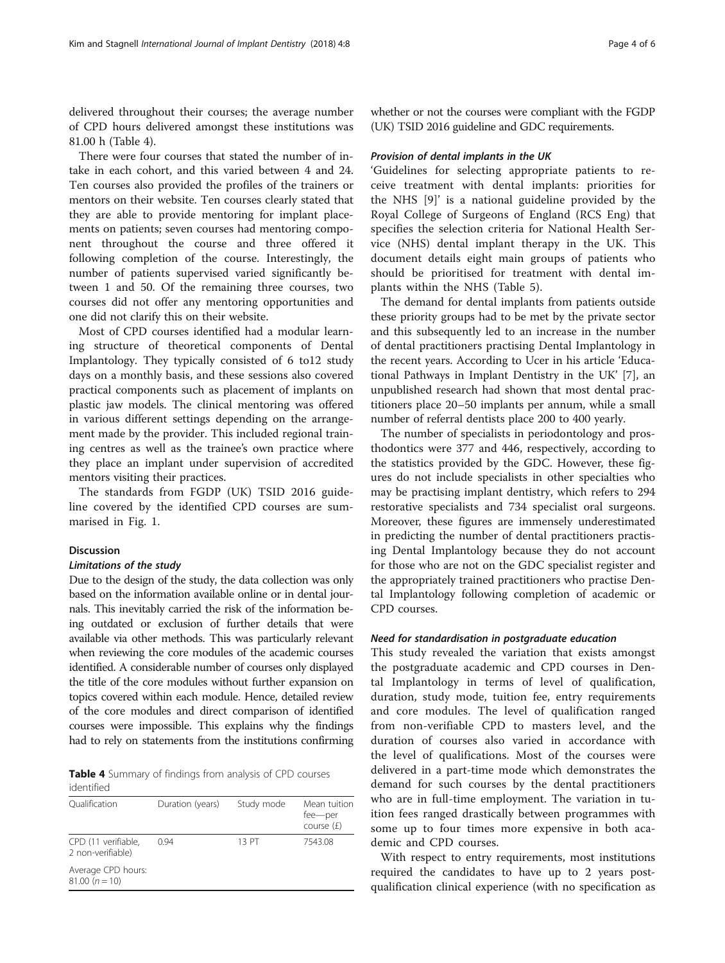delivered throughout their courses; the average number of CPD hours delivered amongst these institutions was 81.00 h (Table 4).

There were four courses that stated the number of intake in each cohort, and this varied between 4 and 24. Ten courses also provided the profiles of the trainers or mentors on their website. Ten courses clearly stated that they are able to provide mentoring for implant placements on patients; seven courses had mentoring component throughout the course and three offered it following completion of the course. Interestingly, the number of patients supervised varied significantly between 1 and 50. Of the remaining three courses, two courses did not offer any mentoring opportunities and one did not clarify this on their website.

Most of CPD courses identified had a modular learning structure of theoretical components of Dental Implantology. They typically consisted of 6 to12 study days on a monthly basis, and these sessions also covered practical components such as placement of implants on plastic jaw models. The clinical mentoring was offered in various different settings depending on the arrangement made by the provider. This included regional training centres as well as the trainee's own practice where they place an implant under supervision of accredited mentors visiting their practices.

The standards from FGDP (UK) TSID 2016 guideline covered by the identified CPD courses are summarised in Fig. [1](#page-4-0).

## Discussion

#### Limitations of the study

Due to the design of the study, the data collection was only based on the information available online or in dental journals. This inevitably carried the risk of the information being outdated or exclusion of further details that were available via other methods. This was particularly relevant when reviewing the core modules of the academic courses identified. A considerable number of courses only displayed the title of the core modules without further expansion on topics covered within each module. Hence, detailed review of the core modules and direct comparison of identified courses were impossible. This explains why the findings had to rely on statements from the institutions confirming

Table 4 Summary of findings from analysis of CPD courses identified

| Oualification                            | Duration (years) | Study mode | Mean tuition<br>fee-per<br>course $(E)$ |
|------------------------------------------|------------------|------------|-----------------------------------------|
| CPD (11 verifiable,<br>2 non-verifiable) | 0.94             | 13 PT      | 7543.08                                 |
| Average CPD hours:<br>$81.00 (n = 10)$   |                  |            |                                         |

whether or not the courses were compliant with the FGDP (UK) TSID 2016 guideline and GDC requirements.

#### Provision of dental implants in the UK

'Guidelines for selecting appropriate patients to receive treatment with dental implants: priorities for the NHS [\[9](#page-5-0)]' is a national guideline provided by the Royal College of Surgeons of England (RCS Eng) that specifies the selection criteria for National Health Service (NHS) dental implant therapy in the UK. This document details eight main groups of patients who should be prioritised for treatment with dental implants within the NHS (Table [5](#page-4-0)).

The demand for dental implants from patients outside these priority groups had to be met by the private sector and this subsequently led to an increase in the number of dental practitioners practising Dental Implantology in the recent years. According to Ucer in his article 'Educational Pathways in Implant Dentistry in the UK' [[7\]](#page-5-0), an unpublished research had shown that most dental practitioners place 20–50 implants per annum, while a small number of referral dentists place 200 to 400 yearly.

The number of specialists in periodontology and prosthodontics were 377 and 446, respectively, according to the statistics provided by the GDC. However, these figures do not include specialists in other specialties who may be practising implant dentistry, which refers to 294 restorative specialists and 734 specialist oral surgeons. Moreover, these figures are immensely underestimated in predicting the number of dental practitioners practising Dental Implantology because they do not account for those who are not on the GDC specialist register and the appropriately trained practitioners who practise Dental Implantology following completion of academic or CPD courses.

#### Need for standardisation in postgraduate education

This study revealed the variation that exists amongst the postgraduate academic and CPD courses in Dental Implantology in terms of level of qualification, duration, study mode, tuition fee, entry requirements and core modules. The level of qualification ranged from non-verifiable CPD to masters level, and the duration of courses also varied in accordance with the level of qualifications. Most of the courses were delivered in a part-time mode which demonstrates the demand for such courses by the dental practitioners who are in full-time employment. The variation in tuition fees ranged drastically between programmes with some up to four times more expensive in both academic and CPD courses.

With respect to entry requirements, most institutions required the candidates to have up to 2 years postqualification clinical experience (with no specification as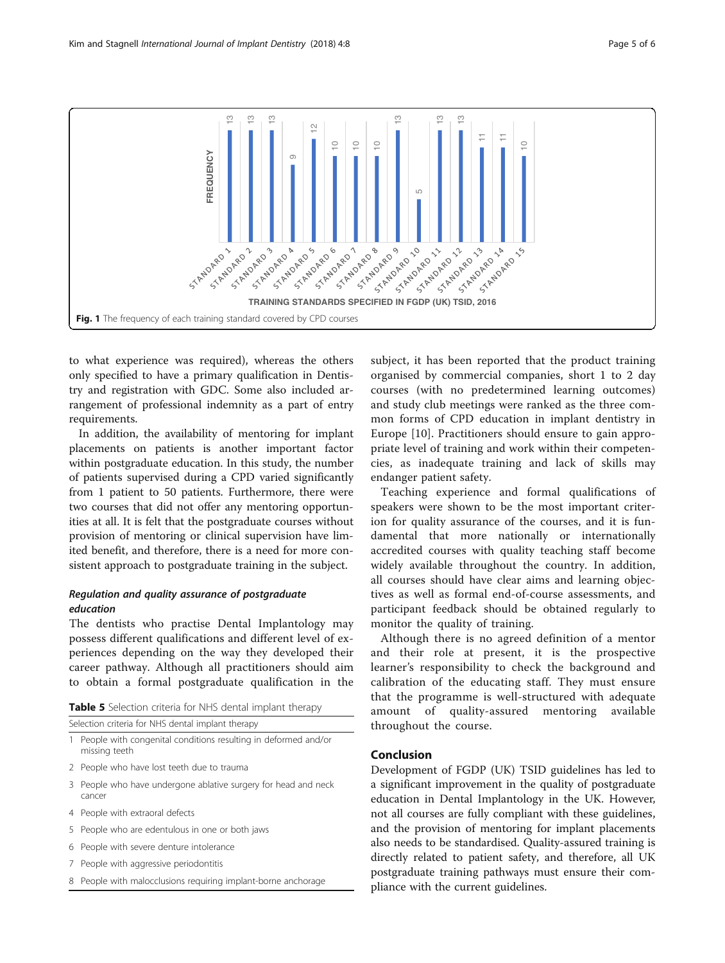<span id="page-4-0"></span>

to what experience was required), whereas the others only specified to have a primary qualification in Dentistry and registration with GDC. Some also included arrangement of professional indemnity as a part of entry requirements.

In addition, the availability of mentoring for implant placements on patients is another important factor within postgraduate education. In this study, the number of patients supervised during a CPD varied significantly from 1 patient to 50 patients. Furthermore, there were two courses that did not offer any mentoring opportunities at all. It is felt that the postgraduate courses without provision of mentoring or clinical supervision have limited benefit, and therefore, there is a need for more consistent approach to postgraduate training in the subject.

## Regulation and quality assurance of postgraduate education

The dentists who practise Dental Implantology may possess different qualifications and different level of experiences depending on the way they developed their career pathway. Although all practitioners should aim to obtain a formal postgraduate qualification in the

|  |  |  |                                                                                                                                                                                                                                   |  |  | Table 5 Selection criteria for NHS dental implant therapy |
|--|--|--|-----------------------------------------------------------------------------------------------------------------------------------------------------------------------------------------------------------------------------------|--|--|-----------------------------------------------------------|
|  |  |  | $\sigma$ . The second contract of the second contract of the second contract of the second contract of the second contract of the second contract of the second contract of the second contract of the second contract of the sec |  |  |                                                           |

| Selection criteria for NHS dental implant therapy |  |  |  |
|---------------------------------------------------|--|--|--|
|---------------------------------------------------|--|--|--|

- 1 People with congenital conditions resulting in deformed and/or missing teeth
- 2 People who have lost teeth due to trauma
- 3 People who have undergone ablative surgery for head and neck cancer
- 4 People with extraoral defects
- 5 People who are edentulous in one or both jaws
- 6 People with severe denture intolerance
- 7 People with aggressive periodontitis
- 8 People with malocclusions requiring implant-borne anchorage

subject, it has been reported that the product training organised by commercial companies, short 1 to 2 day courses (with no predetermined learning outcomes) and study club meetings were ranked as the three common forms of CPD education in implant dentistry in Europe [\[10](#page-5-0)]. Practitioners should ensure to gain appropriate level of training and work within their competencies, as inadequate training and lack of skills may endanger patient safety.

Teaching experience and formal qualifications of speakers were shown to be the most important criterion for quality assurance of the courses, and it is fundamental that more nationally or internationally accredited courses with quality teaching staff become widely available throughout the country. In addition, all courses should have clear aims and learning objectives as well as formal end-of-course assessments, and participant feedback should be obtained regularly to monitor the quality of training.

Although there is no agreed definition of a mentor and their role at present, it is the prospective learner's responsibility to check the background and calibration of the educating staff. They must ensure that the programme is well-structured with adequate amount of quality-assured mentoring available throughout the course.

Development of FGDP (UK) TSID guidelines has led to a significant improvement in the quality of postgraduate education in Dental Implantology in the UK. However, not all courses are fully compliant with these guidelines, and the provision of mentoring for implant placements also needs to be standardised. Quality-assured training is directly related to patient safety, and therefore, all UK postgraduate training pathways must ensure their compliance with the current guidelines.